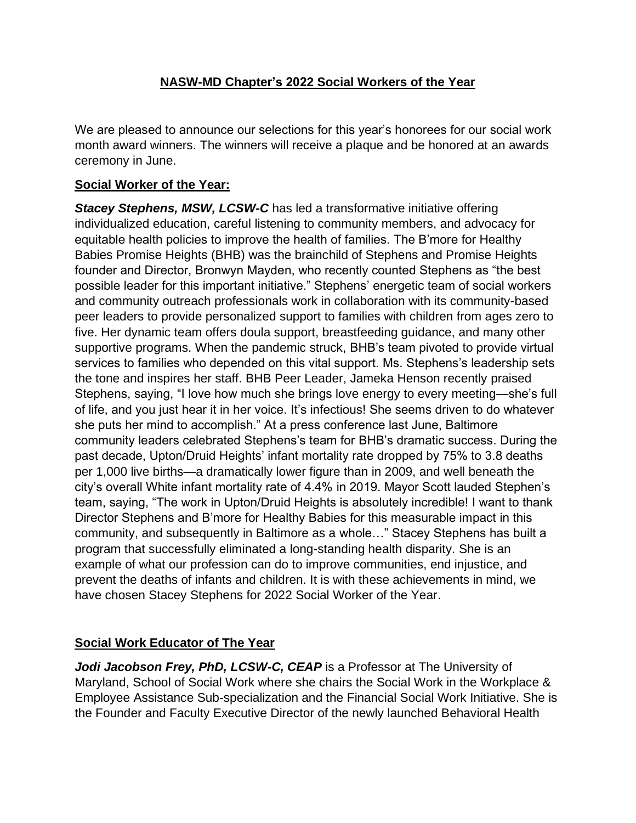## **NASW-MD Chapter's 2022 Social Workers of the Year**

We are pleased to announce our selections for this year's honorees for our social work month award winners. The winners will receive a plaque and be honored at an awards ceremony in June.

## **Social Worker of the Year:**

**Stacey Stephens, MSW, LCSW-C** has led a transformative initiative offering individualized education, careful listening to community members, and advocacy for equitable health policies to improve the health of families. The B'more for Healthy Babies Promise Heights (BHB) was the brainchild of Stephens and Promise Heights founder and Director, Bronwyn Mayden, who recently counted Stephens as "the best possible leader for this important initiative." Stephens' energetic team of social workers and community outreach professionals work in collaboration with its community-based peer leaders to provide personalized support to families with children from ages zero to five. Her dynamic team offers doula support, breastfeeding guidance, and many other supportive programs. When the pandemic struck, BHB's team pivoted to provide virtual services to families who depended on this vital support. Ms. Stephens's leadership sets the tone and inspires her staff. BHB Peer Leader, Jameka Henson recently praised Stephens, saying, "I love how much she brings love energy to every meeting—she's full of life, and you just hear it in her voice. It's infectious! She seems driven to do whatever she puts her mind to accomplish." At a press conference last June, Baltimore community leaders celebrated Stephens's team for BHB's dramatic success. During the past decade, Upton/Druid Heights' infant mortality rate dropped by 75% to 3.8 deaths per 1,000 live births—a dramatically lower figure than in 2009, and well beneath the city's overall White infant mortality rate of 4.4% in 2019. Mayor Scott lauded Stephen's team, saying, "The work in Upton/Druid Heights is absolutely incredible! I want to thank Director Stephens and B'more for Healthy Babies for this measurable impact in this community, and subsequently in Baltimore as a whole…" Stacey Stephens has built a program that successfully eliminated a long-standing health disparity. She is an example of what our profession can do to improve communities, end injustice, and prevent the deaths of infants and children. It is with these achievements in mind, we have chosen Stacey Stephens for 2022 Social Worker of the Year.

## **Social Work Educator of The Year**

*Jodi Jacobson Frey, PhD, LCSW-C, CEAP* is a Professor at The University of Maryland, School of Social Work where she chairs the Social Work in the Workplace & Employee Assistance Sub-specialization and the Financial Social Work Initiative. She is the Founder and Faculty Executive Director of the newly launched Behavioral Health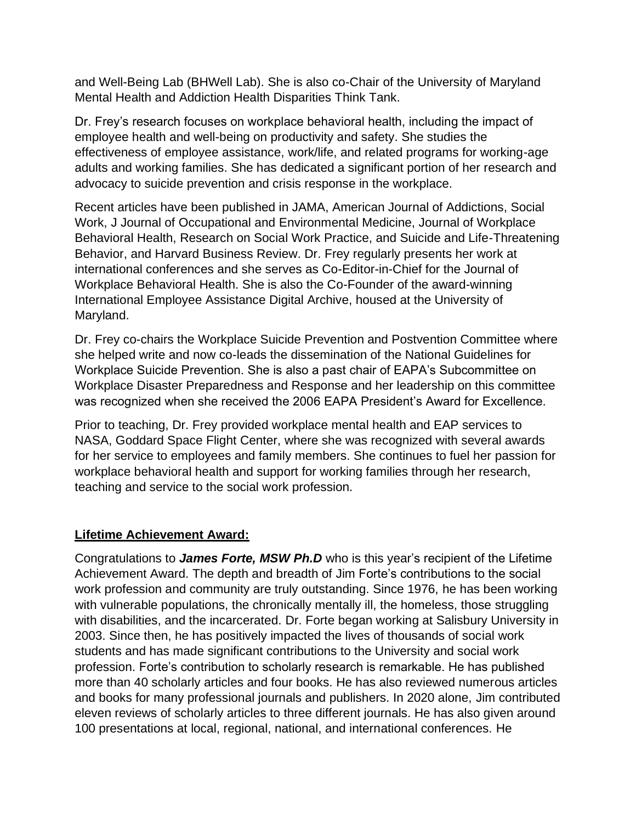and Well-Being Lab (BHWell Lab). She is also co-Chair of the University of Maryland Mental Health and Addiction Health Disparities Think Tank.

Dr. Frey's research focuses on workplace behavioral health, including the impact of employee health and well-being on productivity and safety. She studies the effectiveness of employee assistance, work/life, and related programs for working-age adults and working families. She has dedicated a significant portion of her research and advocacy to suicide prevention and crisis response in the workplace.

Recent articles have been published in JAMA, American Journal of Addictions, Social Work, J Journal of Occupational and Environmental Medicine, Journal of Workplace Behavioral Health, Research on Social Work Practice, and Suicide and Life-Threatening Behavior, and Harvard Business Review. Dr. Frey regularly presents her work at international conferences and she serves as Co-Editor-in-Chief for the Journal of Workplace Behavioral Health. She is also the Co-Founder of the award-winning International Employee Assistance Digital Archive, housed at the University of Maryland.

Dr. Frey co-chairs the Workplace Suicide Prevention and Postvention Committee where she helped write and now co-leads the dissemination of the National Guidelines for Workplace Suicide Prevention. She is also a past chair of EAPA's Subcommittee on Workplace Disaster Preparedness and Response and her leadership on this committee was recognized when she received the 2006 EAPA President's Award for Excellence.

Prior to teaching, Dr. Frey provided workplace mental health and EAP services to NASA, Goddard Space Flight Center, where she was recognized with several awards for her service to employees and family members. She continues to fuel her passion for workplace behavioral health and support for working families through her research, teaching and service to the social work profession.

## **Lifetime Achievement Award:**

Congratulations to *James Forte, MSW Ph.D* who is this year's recipient of the Lifetime Achievement Award. The depth and breadth of Jim Forte's contributions to the social work profession and community are truly outstanding. Since 1976, he has been working with vulnerable populations, the chronically mentally ill, the homeless, those struggling with disabilities, and the incarcerated. Dr. Forte began working at Salisbury University in 2003. Since then, he has positively impacted the lives of thousands of social work students and has made significant contributions to the University and social work profession. Forte's contribution to scholarly research is remarkable. He has published more than 40 scholarly articles and four books. He has also reviewed numerous articles and books for many professional journals and publishers. In 2020 alone, Jim contributed eleven reviews of scholarly articles to three different journals. He has also given around 100 presentations at local, regional, national, and international conferences. He